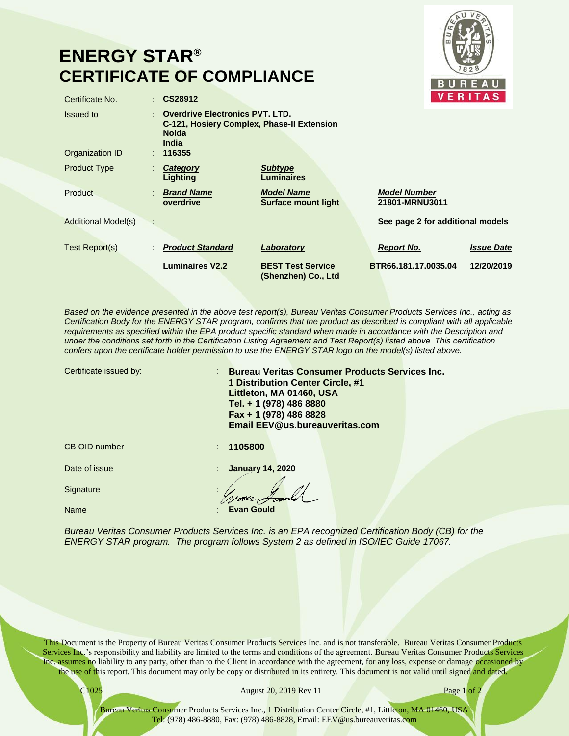## **ENERGY STAR® CERTIFICATE OF COMPLIANCE**



| Certificate No.              | CS28912                                                                                                                 |                                                 |                                       | <b>VERITAS</b>    |
|------------------------------|-------------------------------------------------------------------------------------------------------------------------|-------------------------------------------------|---------------------------------------|-------------------|
| Issued to<br>Organization ID | <b>Overdrive Electronics PVT. LTD.</b><br>C-121, Hosiery Complex, Phase-II Extension<br><b>Noida</b><br>India<br>116355 |                                                 |                                       |                   |
| <b>Product Type</b>          | Category<br>Lighting                                                                                                    | <b>Subtype</b><br>Luminaires                    |                                       |                   |
| Product                      | <b>Brand Name</b><br>overdrive                                                                                          | <b>Model Name</b><br><b>Surface mount light</b> | <b>Model Number</b><br>21801-MRNU3011 |                   |
| <b>Additional Model(s)</b>   |                                                                                                                         |                                                 | See page 2 for additional models      |                   |
| Test Report(s)               | <b>Product Standard</b>                                                                                                 | Laboratory                                      | <b>Report No.</b>                     | <b>Issue Date</b> |
|                              | <b>Luminaires V2.2</b>                                                                                                  | <b>BEST Test Service</b><br>(Shenzhen) Co., Ltd | BTR66.181.17.0035.04                  | 12/20/2019        |

*Based on the evidence presented in the above test report(s), Bureau Veritas Consumer Products Services Inc., acting as Certification Body for the ENERGY STAR program, confirms that the product as described is compliant with all applicable*  requirements as specified within the EPA product specific standard when made in accordance with the Description and *under the conditions set forth in the Certification Listing Agreement and Test Report(s) listed above This certification confers upon the certificate holder permission to use the ENERGY STAR logo on the model(s) listed above.*

| Certificate issued by: | <b>Bureau Veritas Consumer Products Services Inc.</b><br>1 Distribution Center Circle, #1<br>Littleton, MA 01460, USA<br>Tel. + 1 (978) 486 8880<br>Fax + 1 (978) 486 8828<br><b>Email EEV@us.bureauveritas.com</b> |  |
|------------------------|---------------------------------------------------------------------------------------------------------------------------------------------------------------------------------------------------------------------|--|
| CB OID number          | 1105800                                                                                                                                                                                                             |  |
| Date of issue          | <b>January 14, 2020</b>                                                                                                                                                                                             |  |
| Signature              |                                                                                                                                                                                                                     |  |
| Name                   | <b>Evan Gould</b>                                                                                                                                                                                                   |  |

*Bureau Veritas Consumer Products Services Inc. is an EPA recognized Certification Body (CB) for the ENERGY STAR program. The program follows System 2 as defined in ISO/IEC Guide 17067.*

This Document is the Property of Bureau Veritas Consumer Products Services Inc. and is not transferable. Bureau Veritas Consumer Products Services Inc.'s responsibility and liability are limited to the terms and conditions of the agreement. Bureau Veritas Consumer Products Services Inc. assumes no liability to any party, other than to the Client in accordance with the agreement, for any loss, expense or damage occasioned by the use of this report. This document may only be copy or distributed in its entirety. This document is not valid until signed and dated.

C1025 August 20, 2019 Rev 11 Page 1 of 2

Bureau Veritas Consumer Products Services Inc., 1 Distribution Center Circle, #1, Littleton, MA 01460, USA Tel: (978) 486-8880, Fax: (978) 486-8828, Email: EEV@us.bureauveritas.com